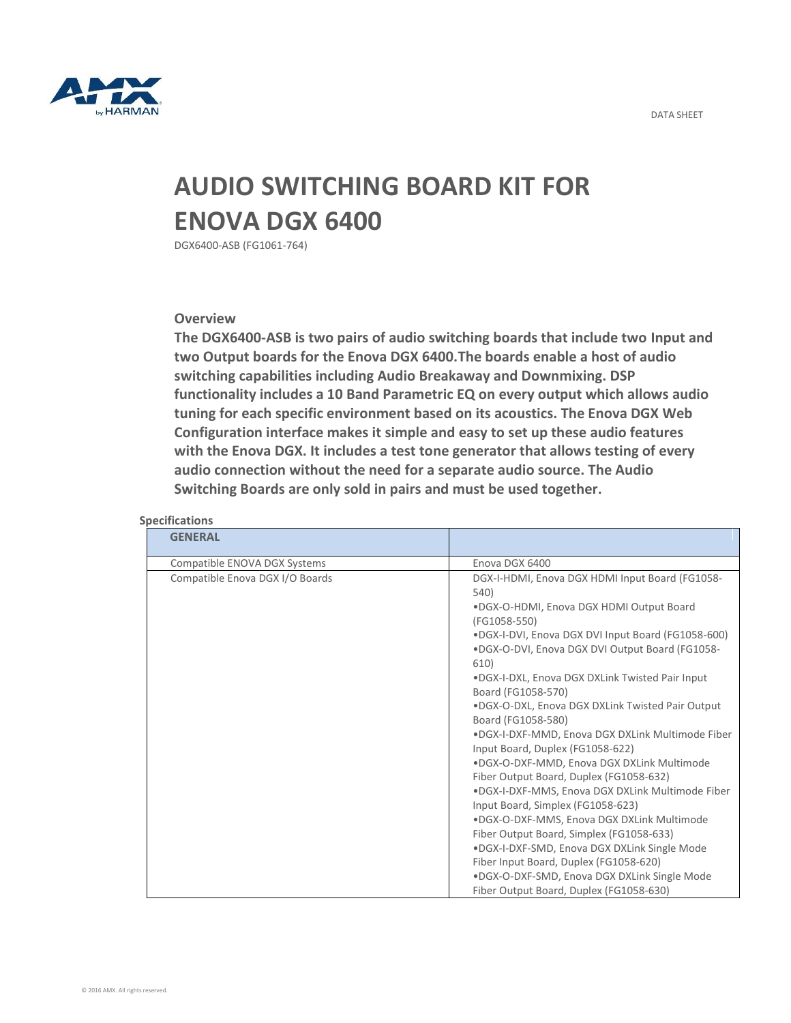

## **AUDIO SWITCHING BOARD KIT FOR ENOVA DGX 6400**

DGX6400-ASB (FG1061-764)

## **Overview**

**The DGX6400-ASB is two pairs of audio switching boards that include two Input and two Output boards for the Enova DGX 6400.The boards enable a host of audio switching capabilities including Audio Breakaway and Downmixing. DSP functionality includes a 10 Band Parametric EQ on every output which allows audio tuning for each specific environment based on its acoustics. The Enova DGX Web Configuration interface makes it simple and easy to set up these audio features with the Enova DGX. It includes a test tone generator that allows testing of every audio connection without the need for a separate audio source. The Audio Switching Boards are only sold in pairs and must be used together.**

| <b>GENERAL</b>                  |                                                                                                                                                                                                                                                                                                                                                                                                                                                                                                                                                                                                                                                                                                                                                                                                                                                                                                                                                  |
|---------------------------------|--------------------------------------------------------------------------------------------------------------------------------------------------------------------------------------------------------------------------------------------------------------------------------------------------------------------------------------------------------------------------------------------------------------------------------------------------------------------------------------------------------------------------------------------------------------------------------------------------------------------------------------------------------------------------------------------------------------------------------------------------------------------------------------------------------------------------------------------------------------------------------------------------------------------------------------------------|
| Compatible ENOVA DGX Systems    | Enova DGX 6400                                                                                                                                                                                                                                                                                                                                                                                                                                                                                                                                                                                                                                                                                                                                                                                                                                                                                                                                   |
| Compatible Enova DGX I/O Boards | DGX-I-HDMI, Enova DGX HDMI Input Board (FG1058-<br>540)<br>.DGX-O-HDMI, Enova DGX HDMI Output Board<br>(FG1058-550)<br>.DGX-I-DVI, Enova DGX DVI Input Board (FG1058-600)<br>.DGX-O-DVI, Enova DGX DVI Output Board (FG1058-<br>610)<br>.DGX-I-DXL, Enova DGX DXLink Twisted Pair Input<br>Board (FG1058-570)<br>.DGX-O-DXL, Enova DGX DXLink Twisted Pair Output<br>Board (FG1058-580)<br>.DGX-I-DXF-MMD, Enova DGX DXLink Multimode Fiber<br>Input Board, Duplex (FG1058-622)<br>.DGX-O-DXF-MMD, Enova DGX DXLink Multimode<br>Fiber Output Board, Duplex (FG1058-632)<br>.DGX-I-DXF-MMS, Enova DGX DXLink Multimode Fiber<br>Input Board, Simplex (FG1058-623)<br>.DGX-O-DXF-MMS, Enova DGX DXLink Multimode<br>Fiber Output Board, Simplex (FG1058-633)<br>.DGX-I-DXF-SMD, Enova DGX DXLink Single Mode<br>Fiber Input Board, Duplex (FG1058-620)<br>.DGX-O-DXF-SMD, Enova DGX DXLink Single Mode<br>Fiber Output Board, Duplex (FG1058-630) |

## **Specifications**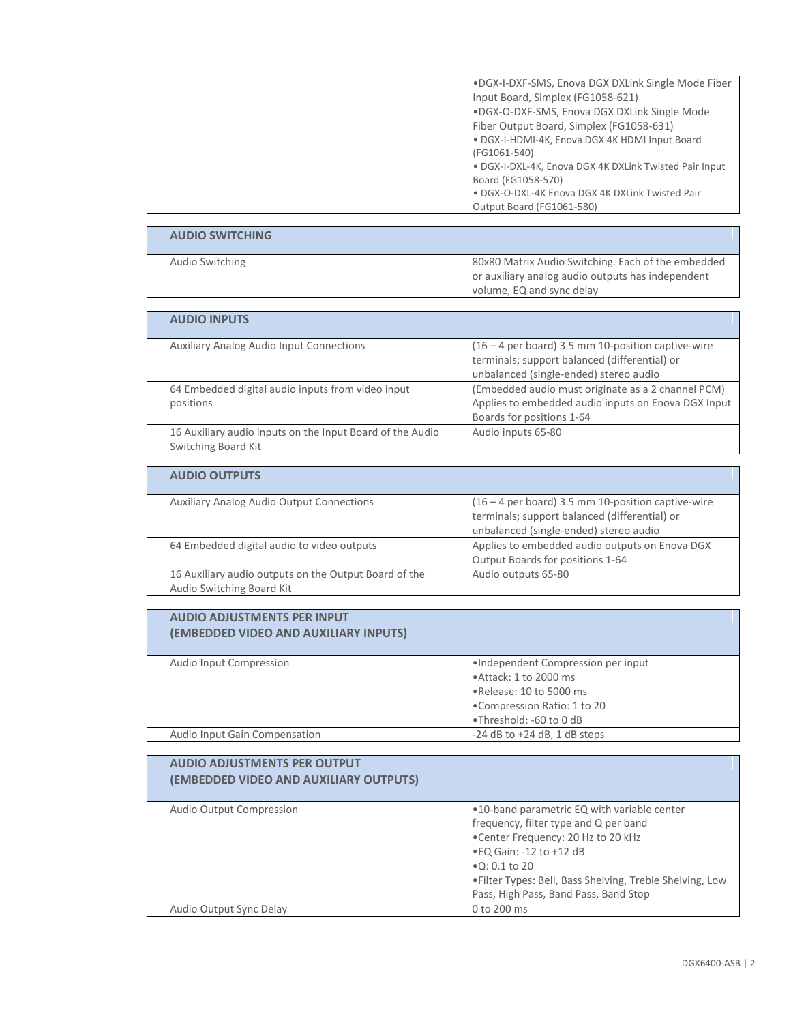| .DGX-I-DXF-SMS, Enova DGX DXLink Single Mode Fiber     |
|--------------------------------------------------------|
| Input Board, Simplex (FG1058-621)                      |
| .DGX-O-DXF-SMS, Enova DGX DXLink Single Mode           |
| Fiber Output Board, Simplex (FG1058-631)               |
| · DGX-I-HDMI-4K, Enova DGX 4K HDMI Input Board         |
| (FG1061-540)                                           |
| • DGX-I-DXL-4K, Enova DGX 4K DXLink Twisted Pair Input |
| Board (FG1058-570)                                     |
| . DGX-O-DXL-4K Enova DGX 4K DXLink Twisted Pair        |
| Output Board (FG1061-580)                              |
|                                                        |

| <b>AUDIO SWITCHING</b> |                                                    |
|------------------------|----------------------------------------------------|
| Audio Switching        | 80x80 Matrix Audio Switching. Each of the embedded |
|                        | or auxiliary analog audio outputs has independent  |
|                        | volume, EQ and sync delay                          |

| <b>AUDIO INPUTS</b>                                                              |                                                                                                                                                 |
|----------------------------------------------------------------------------------|-------------------------------------------------------------------------------------------------------------------------------------------------|
| <b>Auxiliary Analog Audio Input Connections</b>                                  | $(16 - 4$ per board) 3.5 mm 10-position captive-wire<br>terminals; support balanced (differential) or<br>unbalanced (single-ended) stereo audio |
| 64 Embedded digital audio inputs from video input<br>positions                   | (Embedded audio must originate as a 2 channel PCM)<br>Applies to embedded audio inputs on Enova DGX Input<br>Boards for positions 1-64          |
| 16 Auxiliary audio inputs on the Input Board of the Audio<br>Switching Board Kit | Audio inputs 65-80                                                                                                                              |

| <b>AUDIO OUTPUTS</b>                                                               |                                                                                                                                                 |
|------------------------------------------------------------------------------------|-------------------------------------------------------------------------------------------------------------------------------------------------|
| <b>Auxiliary Analog Audio Output Connections</b>                                   | $(16 - 4$ per board) 3.5 mm 10-position captive-wire<br>terminals; support balanced (differential) or<br>unbalanced (single-ended) stereo audio |
| 64 Embedded digital audio to video outputs                                         | Applies to embedded audio outputs on Enova DGX<br>Output Boards for positions 1-64                                                              |
| 16 Auxiliary audio outputs on the Output Board of the<br>Audio Switching Board Kit | Audio outputs 65-80                                                                                                                             |

| <b>AUDIO ADJUSTMENTS PER INPUT</b><br>(EMBEDDED VIDEO AND AUXILIARY INPUTS) |                                                                                                                                                     |
|-----------------------------------------------------------------------------|-----------------------------------------------------------------------------------------------------------------------------------------------------|
| Audio Input Compression                                                     | •Independent Compression per input<br>. Attack: 1 to 2000 ms<br>. Release: 10 to 5000 ms<br>. Compression Ratio: 1 to 20<br>.Threshold: -60 to 0 dB |
| Audio Input Gain Compensation                                               | $-24$ dB to $+24$ dB, 1 dB steps                                                                                                                    |

| <b>AUDIO ADJUSTMENTS PER OUTPUT</b><br>(EMBEDDED VIDEO AND AUXILIARY OUTPUTS) |                                                                                                                                                                                                                                                                                         |
|-------------------------------------------------------------------------------|-----------------------------------------------------------------------------------------------------------------------------------------------------------------------------------------------------------------------------------------------------------------------------------------|
| Audio Output Compression                                                      | .10-band parametric EQ with variable center<br>frequency, filter type and Q per band<br>. Center Frequency: 20 Hz to 20 kHz<br>• EQ Gain: -12 to +12 dB<br>$\bullet$ Q: 0.1 to 20<br>• Filter Types: Bell, Bass Shelving, Treble Shelving, Low<br>Pass, High Pass, Band Pass, Band Stop |
| Audio Output Sync Delay                                                       | 0 to 200 ms                                                                                                                                                                                                                                                                             |